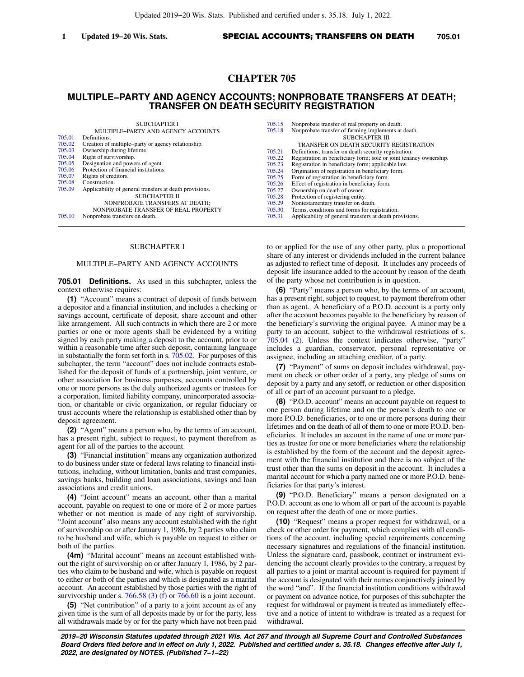# **CHAPTER 705**

# **MULTIPLE−PARTY AND AGENCY ACCOUNTS; NONPROBATE TRANSFERS AT DEATH; TRANSFER ON DEATH SECURITY REGISTRATION**

|        | <b>SUBCHAPTER I</b>                                     | 705.15 | Nonprobate transfer of real property on death.                     |
|--------|---------------------------------------------------------|--------|--------------------------------------------------------------------|
|        | MULTIPLE-PARTY AND AGENCY ACCOUNTS                      | 705.18 | Nonprobate transfer of farming implements at death.                |
| 705.01 | Definitions.                                            |        | SUBCHAPTER III                                                     |
| 705.02 | Creation of multiple-party or agency relationship.      |        | TRANSFER ON DEATH SECURITY REGISTRATION                            |
| 705.03 | Ownership during lifetime.                              | 705.21 | Definitions; transfer on death security registration.              |
| 705.04 | Right of survivorship.                                  | 705.22 | Registration in beneficiary form; sole or joint tenancy ownership. |
| 705.05 | Designation and powers of agent.                        | 705.23 | Registration in beneficiary form; applicable law.                  |
| 705.06 | Protection of financial institutions.                   | 705.24 | Origination of registration in beneficiary form.                   |
| 705.07 | Rights of creditors.                                    | 705.25 | Form of registration in beneficiary form.                          |
| 705.08 | Construction.                                           | 705.26 | Effect of registration in beneficiary form.                        |
| 705.09 | Applicability of general transfers at death provisions. | 705.27 | Ownership on death of owner.                                       |
|        | SUBCHAPTER II                                           | 705.28 | Protection of registering entity.                                  |
|        | NONPROBATE TRANSFERS AT DEATH:                          | 705.29 | Nontestamentary transfer on death.                                 |
|        | NONPROBATE TRANSFER OF REAL PROPERTY                    | 705.30 | Terms, conditions and forms for registration.                      |
| 705.10 | Nonprobate transfers on death.                          | 705.31 | Applicability of general transfers at death provisions.            |

## SUBCHAPTER I

### MULTIPLE−PARTY AND AGENCY ACCOUNTS

**705.01 Definitions.** As used in this subchapter, unless the context otherwise requires:

**(1)** "Account" means a contract of deposit of funds between a depositor and a financial institution, and includes a checking or savings account, certificate of deposit, share account and other like arrangement. All such contracts in which there are 2 or more parties or one or more agents shall be evidenced by a writing signed by each party making a deposit to the account, prior to or within a reasonable time after such deposit, containing language in substantially the form set forth in s.  $705.02$ . For purposes of this subchapter, the term "account" does not include contracts established for the deposit of funds of a partnership, joint venture, or other association for business purposes, accounts controlled by one or more persons as the duly authorized agents or trustees for a corporation, limited liability company, unincorporated association, or charitable or civic organization, or regular fiduciary or trust accounts where the relationship is established other than by deposit agreement.

**(2)** "Agent" means a person who, by the terms of an account, has a present right, subject to request, to payment therefrom as agent for all of the parties to the account.

**(3)** "Financial institution" means any organization authorized to do business under state or federal laws relating to financial institutions, including, without limitation, banks and trust companies, savings banks, building and loan associations, savings and loan associations and credit unions.

**(4)** "Joint account" means an account, other than a marital account, payable on request to one or more of 2 or more parties whether or not mention is made of any right of survivorship. "Joint account" also means any account established with the right of survivorship on or after January 1, 1986, by 2 parties who claim to be husband and wife, which is payable on request to either or both of the parties.

**(4m)** "Marital account" means an account established without the right of survivorship on or after January 1, 1986, by 2 parties who claim to be husband and wife, which is payable on request to either or both of the parties and which is designated as a marital account. An account established by those parties with the right of survivorship under s. [766.58 \(3\) \(f\)](https://docs.legis.wisconsin.gov/document/statutes/766.58(3)(f)) or  $766.60$  is a joint account.

**(5)** "Net contribution" of a party to a joint account as of any given time is the sum of all deposits made by or for the party, less all withdrawals made by or for the party which have not been paid to or applied for the use of any other party, plus a proportional share of any interest or dividends included in the current balance as adjusted to reflect time of deposit. It includes any proceeds of deposit life insurance added to the account by reason of the death of the party whose net contribution is in question.

**(6)** "Party" means a person who, by the terms of an account, has a present right, subject to request, to payment therefrom other than as agent. A beneficiary of a P.O.D. account is a party only after the account becomes payable to the beneficiary by reason of the beneficiary's surviving the original payee. A minor may be a party to an account, subject to the withdrawal restrictions of s. [705.04 \(2\).](https://docs.legis.wisconsin.gov/document/statutes/705.04(2)) Unless the context indicates otherwise, "party" includes a guardian, conservator, personal representative or assignee, including an attaching creditor, of a party.

**(7)** "Payment" of sums on deposit includes withdrawal, payment on check or other order of a party, any pledge of sums on deposit by a party and any setoff, or reduction or other disposition of all or part of an account pursuant to a pledge.

**(8)** "P.O.D. account" means an account payable on request to one person during lifetime and on the person's death to one or more P.O.D. beneficiaries, or to one or more persons during their lifetimes and on the death of all of them to one or more P.O.D. beneficiaries. It includes an account in the name of one or more parties as trustee for one or more beneficiaries where the relationship is established by the form of the account and the deposit agreement with the financial institution and there is no subject of the trust other than the sums on deposit in the account. It includes a marital account for which a party named one or more P.O.D. beneficiaries for that party's interest.

**(9)** "P.O.D. Beneficiary" means a person designated on a P.O.D. account as one to whom all or part of the account is payable on request after the death of one or more parties.

**(10)** "Request" means a proper request for withdrawal, or a check or other order for payment, which complies with all conditions of the account, including special requirements concerning necessary signatures and regulations of the financial institution. Unless the signature card, passbook, contract or instrument evidencing the account clearly provides to the contrary, a request by all parties to a joint or marital account is required for payment if the account is designated with their names conjunctively joined by the word "and". If the financial institution conditions withdrawal or payment on advance notice, for purposes of this subchapter the request for withdrawal or payment is treated as immediately effective and a notice of intent to withdraw is treated as a request for withdrawal.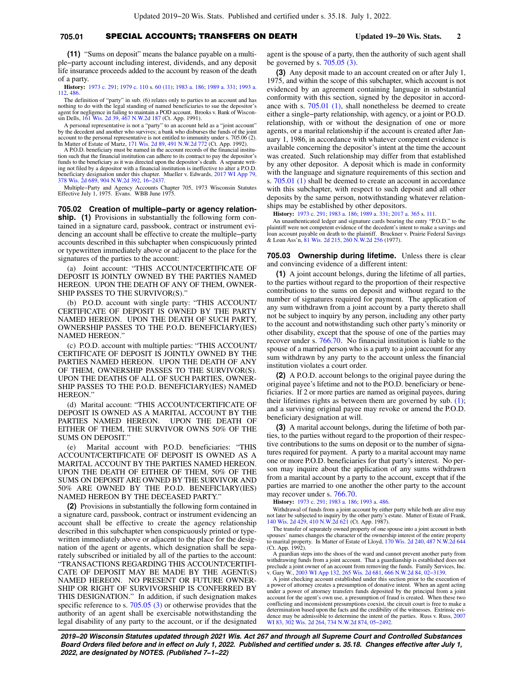## **705.01** SPECIAL ACCOUNTS; TRANSFERS ON DEATH **Updated 19−20 Wis. Stats. 2**

**(11)** "Sums on deposit" means the balance payable on a multiple−party account including interest, dividends, and any deposit life insurance proceeds added to the account by reason of the death of a party.

**History:** [1973 c. 291;](https://docs.legis.wisconsin.gov/document/acts/1973/291) [1979 c. 110](https://docs.legis.wisconsin.gov/document/acts/1979/110) s. [60 \(11\);](https://docs.legis.wisconsin.gov/document/acts/1979/110,%20s.%2060) [1983 a. 186;](https://docs.legis.wisconsin.gov/document/acts/1983/186) [1989 a. 331](https://docs.legis.wisconsin.gov/document/acts/1989/331); [1993 a.](https://docs.legis.wisconsin.gov/document/acts/1993/112) [112](https://docs.legis.wisconsin.gov/document/acts/1993/112), [486](https://docs.legis.wisconsin.gov/document/acts/1993/486).

The definition of "party" in sub. (6) relates only to parties to an account and has nothing to do with the legal standing of named beneficiaries to sue the depositor's or negligence in failing to maintain a POD account. Brooks v. Bank of Wisconsin Dells, [161 Wis. 2d 39,](https://docs.legis.wisconsin.gov/document/courts/161%20Wis.%202d%2039) [467 N.W.2d 187](https://docs.legis.wisconsin.gov/document/courts/467%20N.W.2d%20187) (Ct. App. 1991).

A personal representative is not a "party" to an account held as a "joint account" by the decedent and another who survives; a bank who disburses the funds of the joint account to the personal representative is not entitled to immunity under s. 705.06 (2). In Matter of Estate of Martz, [171 Wis. 2d 89](https://docs.legis.wisconsin.gov/document/courts/171%20Wis.%202d%2089), [491 N.W.2d 772](https://docs.legis.wisconsin.gov/document/courts/491%20N.W.2d%20772) (Ct. App. 1992).

A P.O.D. beneficiary must be named in the account records of the financial institution such that the financial institution can adhere to its contract to pay the depositor's funds to the beneficiary as it was directed upon the depositor's death. A separate writing not filed by a depositor with a financial institution is ineffective to alter a P.O.D. beneficiary designation under this chapter. Mueller v. Edwards, [2017 WI App 79](https://docs.legis.wisconsin.gov/document/courts/2017%20WI%20App%2079), [378 Wis. 2d 689,](https://docs.legis.wisconsin.gov/document/courts/378%20Wis.%202d%20689) [904 N.W.2d 392,](https://docs.legis.wisconsin.gov/document/courts/904%20N.W.2d%20392) [16−2437.](https://docs.legis.wisconsin.gov/document/wicourtofappeals/16-2437)

Multiple−Party and Agency Accounts Chapter 705, 1973 Wisconsin Statutes Effective July 1, 1975. Evans. WBB June 1975.

**705.02 Creation of multiple−party or agency relationship.** (1) Provisions in substantially the following form contained in a signature card, passbook, contract or instrument evidencing an account shall be effective to create the multiple−party accounts described in this subchapter when conspicuously printed or typewritten immediately above or adjacent to the place for the signatures of the parties to the account:

(a) Joint account: "THIS ACCOUNT/CERTIFICATE OF DEPOSIT IS JOINTLY OWNED BY THE PARTIES NAMED HEREON. UPON THE DEATH OF ANY OF THEM, OWNER-SHIP PASSES TO THE SURVIVOR(S).

(b) P.O.D. account with single party: "THIS ACCOUNT/ CERTIFICATE OF DEPOSIT IS OWNED BY THE PARTY NAMED HEREON. UPON THE DEATH OF SUCH PARTY, OWNERSHIP PASSES TO THE P.O.D. BENEFICIARY(IES) NAMED HEREON."

(c) P.O.D. account with multiple parties: "THIS ACCOUNT/ CERTIFICATE OF DEPOSIT IS JOINTLY OWNED BY THE PARTIES NAMED HEREON. UPON THE DEATH OF ANY OF THEM, OWNERSHIP PASSES TO THE SURVIVOR(S). UPON THE DEATHS OF ALL OF SUCH PARTIES, OWNER-SHIP PASSES TO THE P.O.D. BENEFICIARY(IES) NAMED HEREON."

(d) Marital account: "THIS ACCOUNT/CERTIFICATE OF DEPOSIT IS OWNED AS A MARITAL ACCOUNT BY THE PARTIES NAMED HEREON. UPON THE DEATH OF EITHER OF THEM, THE SURVIVOR OWNS 50% OF THE SUMS ON DEPOSIT."

(e) Marital account with P.O.D. beneficiaries: "THIS ACCOUNT/CERTIFICATE OF DEPOSIT IS OWNED AS A MARITAL ACCOUNT BY THE PARTIES NAMED HEREON. UPON THE DEATH OF EITHER OF THEM, 50% OF THE SUMS ON DEPOSIT ARE OWNED BY THE SURVIVOR AND 50% ARE OWNED BY THE P.O.D. BENEFICIARY(IES) NAMED HEREON BY THE DECEASED PARTY."

**(2)** Provisions in substantially the following form contained in a signature card, passbook, contract or instrument evidencing an account shall be effective to create the agency relationship described in this subchapter when conspicuously printed or typewritten immediately above or adjacent to the place for the designation of the agent or agents, which designation shall be separately subscribed or initialed by all of the parties to the account: "TRANSACTIONS REGARDING THIS ACCOUNT/CERTIFI-CATE OF DEPOSIT MAY BE MADE BY THE AGENT(S) NAMED HEREON. NO PRESENT OR FUTURE OWNER-SHIP OR RIGHT OF SURVIVORSHIP IS CONFERRED BY THIS DESIGNATION." In addition, if such designation makes specific reference to s. [705.05 \(3\)](https://docs.legis.wisconsin.gov/document/statutes/705.05(3)) or otherwise provides that the authority of an agent shall be exercisable notwithstanding the legal disability of any party to the account, or if the designated

agent is the spouse of a party, then the authority of such agent shall be governed by s. [705.05 \(3\).](https://docs.legis.wisconsin.gov/document/statutes/705.05(3))

**(3)** Any deposit made to an account created on or after July 1, 1975, and within the scope of this subchapter, which account is not evidenced by an agreement containing language in substantial conformity with this section, signed by the depositor in accordance with s. [705.01 \(1\)](https://docs.legis.wisconsin.gov/document/statutes/705.01(1)), shall nonetheless be deemed to create either a single−party relationship, with agency, or a joint or P.O.D. relationship, with or without the designation of one or more agents, or a marital relationship if the account is created after January 1, 1986, in accordance with whatever competent evidence is available concerning the depositor's intent at the time the account was created. Such relationship may differ from that established by any other depositor. A deposit which is made in conformity with the language and signature requirements of this section and s. [705.01 \(1\)](https://docs.legis.wisconsin.gov/document/statutes/705.01(1)) shall be deemed to create an account in accordance with this subchapter, with respect to such deposit and all other deposits by the same person, notwithstanding whatever relationships may be established by other depositors.

**History:** [1973 c. 291;](https://docs.legis.wisconsin.gov/document/acts/1973/291) [1983 a. 186](https://docs.legis.wisconsin.gov/document/acts/1983/186); [1989 a. 331;](https://docs.legis.wisconsin.gov/document/acts/1989/331) [2017 a. 365](https://docs.legis.wisconsin.gov/document/acts/2017/365) s. [111.](https://docs.legis.wisconsin.gov/document/acts/2017/365,%20s.%20111)

An unauthenticated ledger and signature cards bearing the entry "P.O.D." to the plaintiff were not competent evidence of the decedent's intent to make a savings and loan account payable on death to the plaintiff. Bruckner v. Prairie Federal Savings & Loan Ass'n, [81 Wis. 2d 215,](https://docs.legis.wisconsin.gov/document/courts/81%20Wis.%202d%20215) [260 N.W.2d 256](https://docs.legis.wisconsin.gov/document/courts/260%20N.W.2d%20256) (1977).

**705.03 Ownership during lifetime.** Unless there is clear and convincing evidence of a different intent:

**(1)** A joint account belongs, during the lifetime of all parties, to the parties without regard to the proportion of their respective contributions to the sums on deposit and without regard to the number of signatures required for payment. The application of any sum withdrawn from a joint account by a party thereto shall not be subject to inquiry by any person, including any other party to the account and notwithstanding such other party's minority or other disability, except that the spouse of one of the parties may recover under s. [766.70](https://docs.legis.wisconsin.gov/document/statutes/766.70). No financial institution is liable to the spouse of a married person who is a party to a joint account for any sum withdrawn by any party to the account unless the financial institution violates a court order.

**(2)** A P.O.D. account belongs to the original payee during the original payee's lifetime and not to the P.O.D. beneficiary or beneficiaries. If 2 or more parties are named as original payees, during their lifetimes rights as between them are governed by sub. [\(1\);](https://docs.legis.wisconsin.gov/document/statutes/705.03(1)) and a surviving original payee may revoke or amend the P.O.D. beneficiary designation at will.

**(3)** A marital account belongs, during the lifetime of both parties, to the parties without regard to the proportion of their respective contributions to the sums on deposit or to the number of signatures required for payment. A party to a marital account may name one or more P.O.D. beneficiaries for that party's interest. No person may inquire about the application of any sums withdrawn from a marital account by a party to the account, except that if the parties are married to one another the other party to the account may recover under s. [766.70](https://docs.legis.wisconsin.gov/document/statutes/766.70).

**History:** [1973 c. 291;](https://docs.legis.wisconsin.gov/document/acts/1973/291) [1983 a. 186](https://docs.legis.wisconsin.gov/document/acts/1983/186); [1993 a. 486.](https://docs.legis.wisconsin.gov/document/acts/1993/486)

Withdrawal of funds from a joint account by either party while both are alive may not later be subjected to inquiry by the other party's estate. Matter of Estate of Frank, [140 Wis. 2d 429](https://docs.legis.wisconsin.gov/document/courts/140%20Wis.%202d%20429), [410 N.W.2d 621](https://docs.legis.wisconsin.gov/document/courts/410%20N.W.2d%20621) (Ct. App. 1987).

The transfer of separately owned property of one spouse into a joint account in both spouses' names changes the character of the ownership interest of the entire property to marital property. In Matter of Estate of Lloyd, [170 Wis. 2d 240](https://docs.legis.wisconsin.gov/document/courts/170%20Wis.%202d%20240), [487 N.W.2d 644](https://docs.legis.wisconsin.gov/document/courts/487%20N.W.2d%20644) (Ct. App. 1992).

A guardian steps into the shoes of the ward and cannot prevent another party from withdrawing funds from a joint account. That a guardianship is established does not preclude a joint owner of an account from removing the funds. Family Services, Inc. v. Gary W., [2003 WI App 132](https://docs.legis.wisconsin.gov/document/courts/2003%20WI%20App%20132), [265 Wis. 2d 681](https://docs.legis.wisconsin.gov/document/courts/265%20Wis.%202d%20681), [666 N.W.2d 84](https://docs.legis.wisconsin.gov/document/courts/666%20N.W.2d%2084), [02−3139](https://docs.legis.wisconsin.gov/document/wicourtofappeals/02-3139).

A joint checking account established under this section prior to the execution of a power of attorney creates a presumption of donative intent. When an agent acting under a power of attorney transfers funds deposited by the principal from a joint account for the agent's own use, a presumption of fraud is created. When these two conflicting and inconsistent presumptions coexist, the circuit court is free to make a determination based upon the facts and the credibility of the witnesses. Extrinsic evi-dence may be admissible to determine the intent of the parties. Russ v. Russ, [2007](https://docs.legis.wisconsin.gov/document/courts/2007%20WI%2083) [WI 83,](https://docs.legis.wisconsin.gov/document/courts/2007%20WI%2083) [302 Wis. 2d 264](https://docs.legis.wisconsin.gov/document/courts/302%20Wis.%202d%20264), [734 N.W.2d 874,](https://docs.legis.wisconsin.gov/document/courts/734%20N.W.2d%20874) [05−2492](https://docs.legis.wisconsin.gov/document/wisupremecourt/05-2492).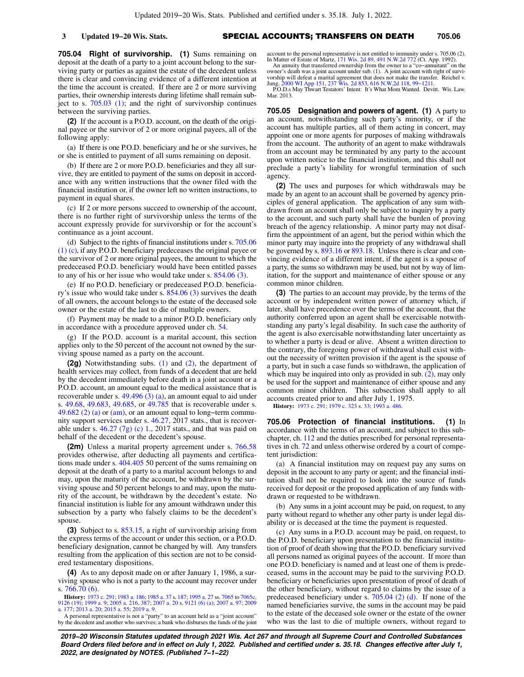**3 Updated 19−20 Wis. Stats.** SPECIAL ACCOUNTS; TRANSFERS ON DEATH **705.06**

**705.04 Right of survivorship. (1)** Sums remaining on deposit at the death of a party to a joint account belong to the surviving party or parties as against the estate of the decedent unless there is clear and convincing evidence of a different intention at the time the account is created. If there are 2 or more surviving parties, their ownership interests during lifetime shall remain subject to s. [705.03 \(1\);](https://docs.legis.wisconsin.gov/document/statutes/705.03(1)) and the right of survivorship continues between the surviving parties.

**(2)** If the account is a P.O.D. account, on the death of the original payee or the survivor of 2 or more original payees, all of the following apply:

(a) If there is one P.O.D. beneficiary and he or she survives, he or she is entitled to payment of all sums remaining on deposit.

(b) If there are 2 or more P.O.D. beneficiaries and they all survive, they are entitled to payment of the sums on deposit in accordance with any written instructions that the owner filed with the financial institution or, if the owner left no written instructions, to payment in equal shares.

(c) If 2 or more persons succeed to ownership of the account, there is no further right of survivorship unless the terms of the account expressly provide for survivorship or for the account's continuance as a joint account.

(d) Subject to the rights of financial institutions under s. [705.06](https://docs.legis.wisconsin.gov/document/statutes/705.06(1)(c)) [\(1\) \(c\),](https://docs.legis.wisconsin.gov/document/statutes/705.06(1)(c)) if any P.O.D. beneficiary predeceases the original payee or the survivor of 2 or more original payees, the amount to which the predeceased P.O.D. beneficiary would have been entitled passes to any of his or her issue who would take under s. [854.06 \(3\).](https://docs.legis.wisconsin.gov/document/statutes/854.06(3))

(e) If no P.O.D. beneficiary or predeceased P.O.D. beneficiary's issue who would take under s. [854.06 \(3\)](https://docs.legis.wisconsin.gov/document/statutes/854.06(3)) survives the death of all owners, the account belongs to the estate of the deceased sole owner or the estate of the last to die of multiple owners.

(f) Payment may be made to a minor P.O.D. beneficiary only in accordance with a procedure approved under ch. [54](https://docs.legis.wisconsin.gov/document/statutes/ch.%2054).

(g) If the P.O.D. account is a marital account, this section applies only to the 50 percent of the account not owned by the surviving spouse named as a party on the account.

**(2g)** Notwithstanding subs. [\(1\)](https://docs.legis.wisconsin.gov/document/statutes/705.04(1)) and [\(2\)](https://docs.legis.wisconsin.gov/document/statutes/705.04(2)), the department of health services may collect, from funds of a decedent that are held by the decedent immediately before death in a joint account or a P.O.D. account, an amount equal to the medical assistance that is recoverable under s.  $49.496(3)(a)$ , an amount equal to aid under s. [49.68,](https://docs.legis.wisconsin.gov/document/statutes/49.68) [49.683,](https://docs.legis.wisconsin.gov/document/statutes/49.683) [49.685](https://docs.legis.wisconsin.gov/document/statutes/49.685), or [49.785](https://docs.legis.wisconsin.gov/document/statutes/49.785) that is recoverable under s. [49.682 \(2\) \(a\)](https://docs.legis.wisconsin.gov/document/statutes/49.682(2)(a)) or [\(am\)](https://docs.legis.wisconsin.gov/document/statutes/49.682(2)(am)), or an amount equal to long-term community support services under s. [46.27](https://docs.legis.wisconsin.gov/document/statutes/2017/46.27), 2017 stats., that is recoverable under s.  $46.27$  (7g) (c) 1., 2017 stats., and that was paid on behalf of the decedent or the decedent's spouse.

**(2m)** Unless a marital property agreement under s. [766.58](https://docs.legis.wisconsin.gov/document/statutes/766.58) provides otherwise, after deducting all payments and certifica-tions made under s. [404.405](https://docs.legis.wisconsin.gov/document/statutes/404.405) 50 percent of the sums remaining on deposit at the death of a party to a marital account belongs to and may, upon the maturity of the account, be withdrawn by the surviving spouse and 50 percent belongs to and may, upon the maturity of the account, be withdrawn by the decedent's estate. No financial institution is liable for any amount withdrawn under this subsection by a party who falsely claims to be the decedent's spouse.

**(3)** Subject to s. [853.15,](https://docs.legis.wisconsin.gov/document/statutes/853.15) a right of survivorship arising from the express terms of the account or under this section, or a P.O.D. beneficiary designation, cannot be changed by will. Any transfers resulting from the application of this section are not to be considered testamentary dispositions.

**(4)** As to any deposit made on or after January 1, 1986, a surviving spouse who is not a party to the account may recover under s. [766.70 \(6\).](https://docs.legis.wisconsin.gov/document/statutes/766.70(6))

**History:** [1973 c. 291](https://docs.legis.wisconsin.gov/document/acts/1973/291); [1983 a. 186](https://docs.legis.wisconsin.gov/document/acts/1983/186); [1985 a. 37](https://docs.legis.wisconsin.gov/document/acts/1985/37) s. [187;](https://docs.legis.wisconsin.gov/document/acts/1985/37,%20s.%20187) [1995 a. 27](https://docs.legis.wisconsin.gov/document/acts/1995/27) ss. [7065](https://docs.legis.wisconsin.gov/document/acts/1995/27,%20s.%207065) to [7065c](https://docs.legis.wisconsin.gov/document/acts/1995/27,%20s.%207065c), [9126 \(19\)](https://docs.legis.wisconsin.gov/document/acts/1995/27,%20s.%209126); [1999 a. 9;](https://docs.legis.wisconsin.gov/document/acts/1999/9) [2005 a. 216](https://docs.legis.wisconsin.gov/document/acts/2005/216), [387](https://docs.legis.wisconsin.gov/document/acts/2005/387); [2007 a. 20](https://docs.legis.wisconsin.gov/document/acts/2007/20) s. [9121 \(6\) \(a\)](https://docs.legis.wisconsin.gov/document/acts/2007/20,%20s.%209121); [2007 a. 97](https://docs.legis.wisconsin.gov/document/acts/2007/97); [2009](https://docs.legis.wisconsin.gov/document/acts/2009/177) [a. 177;](https://docs.legis.wisconsin.gov/document/acts/2009/177) [2013 a. 20](https://docs.legis.wisconsin.gov/document/acts/2013/20); [2015 a. 55](https://docs.legis.wisconsin.gov/document/acts/2015/55); [2019 a. 9.](https://docs.legis.wisconsin.gov/document/acts/2019/9)

A personal representative is not a "party" to an account held as a "joint account" by the decedent and another who survives; a bank who disburses the funds of the joint

account to the personal representative is not entitled to immunity under s. 705.06 (2). In Matter of Estate of Martz, [171 Wis. 2d 89,](https://docs.legis.wisconsin.gov/document/courts/171%20Wis.%202d%2089) [491 N.W.2d 772](https://docs.legis.wisconsin.gov/document/courts/491%20N.W.2d%20772) (Ct. App. 1992). An annuity that transferred ownership from the owner to a "co−annuitant" on the

owner's death was a joint account under sub. (1). A joint account with right of survivorship will defeat a marital agreement that does not make the transfer. Reichel v. Jung, [2000 WI App 151,](https://docs.legis.wisconsin.gov/document/courts/2000%20WI%20App%20151) [237 Wis. 2d 853](https://docs.legis.wisconsin.gov/document/courts/237%20Wis.%202d%20853), [616 N.W.2d 118,](https://docs.legis.wisconsin.gov/document/courts/616%20N.W.2d%20118) [99−1211](https://docs.legis.wisconsin.gov/document/wicourtofappeals/99-1211).

P.O.D.s May Thwart Testators' Intent: It's What Mom Wanted. Devitt. Wis. Law. Mar. 2013.

**705.05 Designation and powers of agent. (1)** A party to an account, notwithstanding such party's minority, or if the account has multiple parties, all of them acting in concert, may appoint one or more agents for purposes of making withdrawals from the account. The authority of an agent to make withdrawals from an account may be terminated by any party to the account upon written notice to the financial institution, and this shall not preclude a party's liability for wrongful termination of such agency.

**(2)** The uses and purposes for which withdrawals may be made by an agent to an account shall be governed by agency principles of general application. The application of any sum withdrawn from an account shall only be subject to inquiry by a party to the account, and such party shall have the burden of proving breach of the agency relationship. A minor party may not disaffirm the appointment of an agent, but the period within which the minor party may inquire into the propriety of any withdrawal shall be governed by s. [893.16](https://docs.legis.wisconsin.gov/document/statutes/893.16) or [893.18.](https://docs.legis.wisconsin.gov/document/statutes/893.18) Unless there is clear and convincing evidence of a different intent, if the agent is a spouse of a party, the sums so withdrawn may be used, but not by way of limitation, for the support and maintenance of either spouse or any common minor children.

**(3)** The parties to an account may provide, by the terms of the account or by independent written power of attorney which, if later, shall have precedence over the terms of the account, that the authority conferred upon an agent shall be exercisable notwithstanding any party's legal disability. In such case the authority of the agent is also exercisable notwithstanding later uncertainty as to whether a party is dead or alive. Absent a written direction to the contrary, the foregoing power of withdrawal shall exist without the necessity of written provision if the agent is the spouse of a party, but in such a case funds so withdrawn, the application of which may be inquired into only as provided in sub. [\(2\)](https://docs.legis.wisconsin.gov/document/statutes/705.05(2)), may only be used for the support and maintenance of either spouse and any common minor children. This subsection shall apply to all accounts created prior to and after July 1, 1975.

**History:** [1973 c. 291;](https://docs.legis.wisconsin.gov/document/acts/1973/291) [1979 c. 323](https://docs.legis.wisconsin.gov/document/acts/1979/323) s. [33](https://docs.legis.wisconsin.gov/document/acts/1979/323,%20s.%2033); [1993 a. 486.](https://docs.legis.wisconsin.gov/document/acts/1993/486)

**705.06 Protection of financial institutions. (1)** In accordance with the terms of an account, and subject to this subchapter, ch. [112](https://docs.legis.wisconsin.gov/document/statutes/ch.%20112) and the duties prescribed for personal representatives in ch. [72](https://docs.legis.wisconsin.gov/document/statutes/ch.%2072) and unless otherwise ordered by a court of competent jurisdiction:

(a) A financial institution may on request pay any sums on deposit in the account to any party or agent; and the financial institution shall not be required to look into the source of funds received for deposit or the proposed application of any funds withdrawn or requested to be withdrawn.

(b) Any sums in a joint account may be paid, on request, to any party without regard to whether any other party is under legal disability or is deceased at the time the payment is requested.

(c) Any sums in a P.O.D. account may be paid, on request, to the P.O.D. beneficiary upon presentation to the financial institution of proof of death showing that the P.O.D. beneficiary survived all persons named as original payees of the account. If more than one P.O.D. beneficiary is named and at least one of them is predeceased, sums in the account may be paid to the surviving P.O.D. beneficiary or beneficiaries upon presentation of proof of death of the other beneficiary, without regard to claims by the issue of a predeceased beneficiary under s. [705.04 \(2\) \(d\)](https://docs.legis.wisconsin.gov/document/statutes/705.04(2)(d)). If none of the named beneficiaries survive, the sums in the account may be paid to the estate of the deceased sole owner or the estate of the owner who was the last to die of multiple owners, without regard to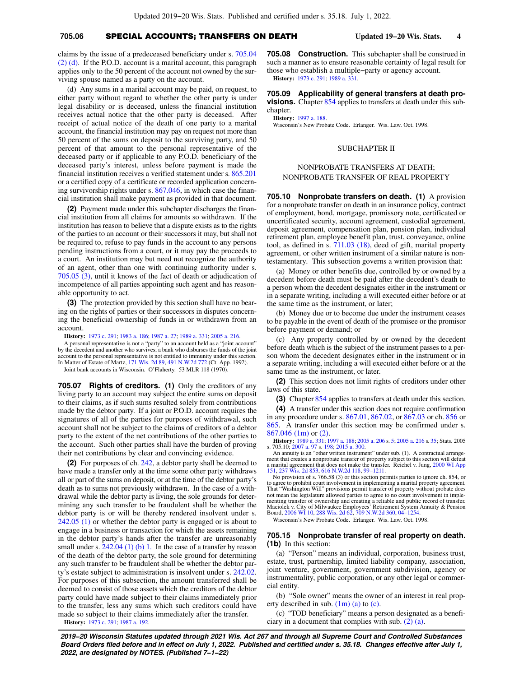claims by the issue of a predeceased beneficiary under s. [705.04](https://docs.legis.wisconsin.gov/document/statutes/705.04(2)(d)) [\(2\) \(d\).](https://docs.legis.wisconsin.gov/document/statutes/705.04(2)(d)) If the P.O.D. account is a marital account, this paragraph applies only to the 50 percent of the account not owned by the surviving spouse named as a party on the account.

(d) Any sums in a marital account may be paid, on request, to either party without regard to whether the other party is under legal disability or is deceased, unless the financial institution receives actual notice that the other party is deceased. After receipt of actual notice of the death of one party to a marital account, the financial institution may pay on request not more than 50 percent of the sums on deposit to the surviving party, and 50 percent of that amount to the personal representative of the deceased party or if applicable to any P.O.D. beneficiary of the deceased party's interest, unless before payment is made the financial institution receives a verified statement under s. [865.201](https://docs.legis.wisconsin.gov/document/statutes/865.201) or a certified copy of a certificate or recorded application concerning survivorship rights under s. [867.046,](https://docs.legis.wisconsin.gov/document/statutes/867.046) in which case the financial institution shall make payment as provided in that document.

**(2)** Payment made under this subchapter discharges the financial institution from all claims for amounts so withdrawn. If the institution has reason to believe that a dispute exists as to the rights of the parties to an account or their successors it may, but shall not be required to, refuse to pay funds in the account to any persons pending instructions from a court, or it may pay the proceeds to a court. An institution may but need not recognize the authority of an agent, other than one with continuing authority under s. [705.05 \(3\),](https://docs.legis.wisconsin.gov/document/statutes/705.05(3)) until it knows of the fact of death or adjudication of incompetence of all parties appointing such agent and has reasonable opportunity to act.

**(3)** The protection provided by this section shall have no bearing on the rights of parties or their successors in disputes concerning the beneficial ownership of funds in or withdrawn from an account.

**History:** [1973 c. 291](https://docs.legis.wisconsin.gov/document/acts/1973/291); [1983 a. 186](https://docs.legis.wisconsin.gov/document/acts/1983/186); [1987 a. 27](https://docs.legis.wisconsin.gov/document/acts/1987/27); [1989 a. 331;](https://docs.legis.wisconsin.gov/document/acts/1989/331) [2005 a. 216.](https://docs.legis.wisconsin.gov/document/acts/2005/216)

A personal representative is not a "party" to an account held as a "joint account" by the decedent and another who survives; a bank who disburses the funds of the joint account to the personal representative is not entitled to immunity under this section. In Matter of Estate of Martz, [171 Wis. 2d 89](https://docs.legis.wisconsin.gov/document/courts/171%20Wis.%202d%2089), [491 N.W.2d 772](https://docs.legis.wisconsin.gov/document/courts/491%20N.W.2d%20772) (Ct. App. 1992).

Joint bank accounts in Wisconsin. O'Flaherty. 53 MLR 118 (1970).

**705.07 Rights of creditors. (1)** Only the creditors of any living party to an account may subject the entire sums on deposit to their claims, as if such sums resulted solely from contributions made by the debtor party. If a joint or P.O.D. account requires the signatures of all of the parties for purposes of withdrawal, such account shall not be subject to the claims of creditors of a debtor party to the extent of the net contributions of the other parties to the account. Such other parties shall have the burden of proving their net contributions by clear and convincing evidence.

**(2)** For purposes of ch. [242](https://docs.legis.wisconsin.gov/document/statutes/ch.%20242), a debtor party shall be deemed to have made a transfer only at the time some other party withdraws all or part of the sums on deposit, or at the time of the debtor party's death as to sums not previously withdrawn. In the case of a withdrawal while the debtor party is living, the sole grounds for determining any such transfer to be fraudulent shall be whether the debtor party is or will be thereby rendered insolvent under s. [242.05 \(1\)](https://docs.legis.wisconsin.gov/document/statutes/242.05(1)) or whether the debtor party is engaged or is about to engage in a business or transaction for which the assets remaining in the debtor party's hands after the transfer are unreasonably small under s.  $242.04$  (1) (b) 1. In the case of a transfer by reason of the death of the debtor party, the sole ground for determining any such transfer to be fraudulent shall be whether the debtor party's estate subject to administration is insolvent under s. [242.02.](https://docs.legis.wisconsin.gov/document/statutes/242.02) For purposes of this subsection, the amount transferred shall be deemed to consist of those assets which the creditors of the debtor party could have made subject to their claims immediately prior to the transfer, less any sums which such creditors could have made so subject to their claims immediately after the transfer. **History:** [1973 c. 291](https://docs.legis.wisconsin.gov/document/acts/1973/291); [1987 a. 192](https://docs.legis.wisconsin.gov/document/acts/1987/192).

**705.08 Construction.** This subchapter shall be construed in such a manner as to ensure reasonable certainty of legal result for those who establish a multiple−party or agency account. **History:** [1973 c. 291;](https://docs.legis.wisconsin.gov/document/acts/1973/291) [1989 a. 331](https://docs.legis.wisconsin.gov/document/acts/1989/331).

**705.09 Applicability of general transfers at death provisions.** Chapter [854](https://docs.legis.wisconsin.gov/document/statutes/ch.%20854) applies to transfers at death under this subchapter.

**History:** [1997 a. 188.](https://docs.legis.wisconsin.gov/document/acts/1997/188)

Wisconsin's New Probate Code. Erlanger. Wis. Law. Oct. 1998.

### SUBCHAPTER II

# NONPROBATE TRANSFERS AT DEATH; NONPROBATE TRANSFER OF REAL PROPERTY

**705.10 Nonprobate transfers on death. (1)** A provision for a nonprobate transfer on death in an insurance policy, contract of employment, bond, mortgage, promissory note, certificated or uncertificated security, account agreement, custodial agreement, deposit agreement, compensation plan, pension plan, individual retirement plan, employee benefit plan, trust, conveyance, online tool, as defined in s. [711.03 \(18\)](https://docs.legis.wisconsin.gov/document/statutes/711.03(18)), deed of gift, marital property agreement, or other written instrument of a similar nature is nontestamentary. This subsection governs a written provision that:

(a) Money or other benefits due, controlled by or owned by a decedent before death must be paid after the decedent's death to a person whom the decedent designates either in the instrument or in a separate writing, including a will executed either before or at the same time as the instrument, or later;

(b) Money due or to become due under the instrument ceases to be payable in the event of death of the promisee or the promisor before payment or demand; or

(c) Any property controlled by or owned by the decedent before death which is the subject of the instrument passes to a person whom the decedent designates either in the instrument or in a separate writing, including a will executed either before or at the same time as the instrument, or later.

**(2)** This section does not limit rights of creditors under other laws of this state.

**(3)** Chapter [854](https://docs.legis.wisconsin.gov/document/statutes/ch.%20854) applies to transfers at death under this section.

**(4)** A transfer under this section does not require confirmation in any procedure under s. [867.01](https://docs.legis.wisconsin.gov/document/statutes/867.01), [867.02](https://docs.legis.wisconsin.gov/document/statutes/867.02), or [867.03](https://docs.legis.wisconsin.gov/document/statutes/867.03) or ch. [856](https://docs.legis.wisconsin.gov/document/statutes/ch.%20856) or [865.](https://docs.legis.wisconsin.gov/document/statutes/ch.%20865) A transfer under this section may be confirmed under s. [867.046 \(1m\)](https://docs.legis.wisconsin.gov/document/statutes/867.046(1m)) or [\(2\).](https://docs.legis.wisconsin.gov/document/statutes/867.046(2))

**History:** [1989 a. 331;](https://docs.legis.wisconsin.gov/document/acts/1989/331) [1997 a. 188](https://docs.legis.wisconsin.gov/document/acts/1997/188); [2005 a. 206](https://docs.legis.wisconsin.gov/document/acts/2005/206) s. [5;](https://docs.legis.wisconsin.gov/document/acts/2005/206,%20s.%205) [2005 a. 216](https://docs.legis.wisconsin.gov/document/acts/2005/216) s. [35](https://docs.legis.wisconsin.gov/document/acts/2005/216,%20s.%2035); Stats. 2005 s. 705.10; [2007 a. 97](https://docs.legis.wisconsin.gov/document/acts/2007/97) s. [198](https://docs.legis.wisconsin.gov/document/acts/2007/97,%20s.%20198); [2015 a. 300.](https://docs.legis.wisconsin.gov/document/acts/2015/300)

An annuity is an "other written instrument" under sub. (1). A contractual arrange-ment that creates a nonprobate transfer of property subject to this section will defeat<br>a marital agreement that does not make the transfer. Reichel v. Jung, [2000 WI App](https://docs.legis.wisconsin.gov/document/courts/2000%20WI%20App%20151) [151,](https://docs.legis.wisconsin.gov/document/courts/2000%20WI%20App%20151) [237 Wis. 2d 853](https://docs.legis.wisconsin.gov/document/courts/237%20Wis.%202d%20853), [616 N.W.2d 118,](https://docs.legis.wisconsin.gov/document/courts/616%20N.W.2d%20118) [99−1211](https://docs.legis.wisconsin.gov/document/wicourtofappeals/99-1211). No provision of s. 766.58 (3) or this section permits parties to ignore ch. 854, or

to agree to prohibit court involvement in implementing a marital property agreement.<br>That "Washington Will" provisions permit transfer of property without probate does<br>not mean the legislature allowed parties to agree to n menting transfer of ownership and creating a reliable and public record of transfer.<br>Maciolek v. City of Milwaukee Employees' Retirement System Annuity & Pension<br>Board, [2006 WI 10](https://docs.legis.wisconsin.gov/document/courts/2006%20WI%2010), [288 Wis. 2d 62](https://docs.legis.wisconsin.gov/document/courts/288%20Wis.%202d%2062), [709 N.W.2d 360,](https://docs.legis.wisconsin.gov/document/courts/709%20N.W.2d%20360) [04−1254.](https://docs.legis.wisconsin.gov/document/wisupremecourt/04-1254)

Wisconsin's New Probate Code. Erlanger. Wis. Law. Oct. 1998.

### **705.15 Nonprobate transfer of real property on death. (1b)** In this section:

(a) "Person" means an individual, corporation, business trust, estate, trust, partnership, limited liability company, association, joint venture, government, government subdivision, agency or instrumentality, public corporation, or any other legal or commercial entity.

(b) "Sole owner" means the owner of an interest in real property described in sub. [\(1m\) \(a\)](https://docs.legis.wisconsin.gov/document/statutes/705.15(1m)(a)) to [\(c\)](https://docs.legis.wisconsin.gov/document/statutes/705.15(1m)(c)).

(c) "TOD beneficiary" means a person designated as a beneficiary in a document that complies with sub.  $(2)$   $(a)$ .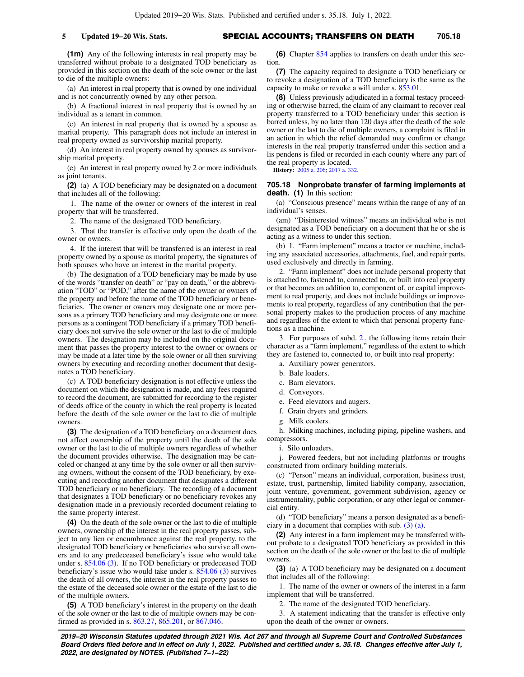**5 Updated 19−20 Wis. Stats.** SPECIAL ACCOUNTS; TRANSFERS ON DEATH **705.18**

**(1m)** Any of the following interests in real property may be transferred without probate to a designated TOD beneficiary as provided in this section on the death of the sole owner or the last to die of the multiple owners:

(a) An interest in real property that is owned by one individual and is not concurrently owned by any other person.

(b) A fractional interest in real property that is owned by an individual as a tenant in common.

(c) An interest in real property that is owned by a spouse as marital property. This paragraph does not include an interest in real property owned as survivorship marital property.

(d) An interest in real property owned by spouses as survivorship marital property.

(e) An interest in real property owned by 2 or more individuals as joint tenants.

**(2)** (a) A TOD beneficiary may be designated on a document that includes all of the following:

1. The name of the owner or owners of the interest in real property that will be transferred.

2. The name of the designated TOD beneficiary.

3. That the transfer is effective only upon the death of the owner or owners.

4. If the interest that will be transferred is an interest in real property owned by a spouse as marital property, the signatures of both spouses who have an interest in the marital property.

(b) The designation of a TOD beneficiary may be made by use of the words "transfer on death" or "pay on death," or the abbreviation "TOD" or "POD," after the name of the owner or owners of the property and before the name of the TOD beneficiary or beneficiaries. The owner or owners may designate one or more persons as a primary TOD beneficiary and may designate one or more persons as a contingent TOD beneficiary if a primary TOD beneficiary does not survive the sole owner or the last to die of multiple owners. The designation may be included on the original document that passes the property interest to the owner or owners or may be made at a later time by the sole owner or all then surviving owners by executing and recording another document that designates a TOD beneficiary.

(c) A TOD beneficiary designation is not effective unless the document on which the designation is made, and any fees required to record the document, are submitted for recording to the register of deeds office of the county in which the real property is located before the death of the sole owner or the last to die of multiple owners.

**(3)** The designation of a TOD beneficiary on a document does not affect ownership of the property until the death of the sole owner or the last to die of multiple owners regardless of whether the document provides otherwise. The designation may be canceled or changed at any time by the sole owner or all then surviving owners, without the consent of the TOD beneficiary, by executing and recording another document that designates a different TOD beneficiary or no beneficiary. The recording of a document that designates a TOD beneficiary or no beneficiary revokes any designation made in a previously recorded document relating to the same property interest.

**(4)** On the death of the sole owner or the last to die of multiple owners, ownership of the interest in the real property passes, subject to any lien or encumbrance against the real property, to the designated TOD beneficiary or beneficiaries who survive all owners and to any predeceased beneficiary's issue who would take under s. [854.06 \(3\)](https://docs.legis.wisconsin.gov/document/statutes/854.06(3)). If no TOD beneficiary or predeceased TOD beneficiary's issue who would take under s. [854.06 \(3\)](https://docs.legis.wisconsin.gov/document/statutes/854.06(3)) survives the death of all owners, the interest in the real property passes to the estate of the deceased sole owner or the estate of the last to die of the multiple owners.

**(5)** A TOD beneficiary's interest in the property on the death of the sole owner or the last to die of multiple owners may be confirmed as provided in s. [863.27,](https://docs.legis.wisconsin.gov/document/statutes/863.27) [865.201,](https://docs.legis.wisconsin.gov/document/statutes/865.201) or [867.046.](https://docs.legis.wisconsin.gov/document/statutes/867.046)

**(6)** Chapter [854](https://docs.legis.wisconsin.gov/document/statutes/ch.%20854) applies to transfers on death under this section.

**(7)** The capacity required to designate a TOD beneficiary or to revoke a designation of a TOD beneficiary is the same as the capacity to make or revoke a will under s. [853.01.](https://docs.legis.wisconsin.gov/document/statutes/853.01)

**(8)** Unless previously adjudicated in a formal testacy proceeding or otherwise barred, the claim of any claimant to recover real property transferred to a TOD beneficiary under this section is barred unless, by no later than 120 days after the death of the sole owner or the last to die of multiple owners, a complaint is filed in an action in which the relief demanded may confirm or change interests in the real property transferred under this section and a lis pendens is filed or recorded in each county where any part of the real property is located.

**History:** [2005 a. 206;](https://docs.legis.wisconsin.gov/document/acts/2005/206) [2017 a. 332](https://docs.legis.wisconsin.gov/document/acts/2017/332).

## **705.18 Nonprobate transfer of farming implements at death. (1)** In this section:

(a) "Conscious presence" means within the range of any of an individual's senses.

(am) "Disinterested witness" means an individual who is not designated as a TOD beneficiary on a document that he or she is acting as a witness to under this section.

(b) 1. "Farm implement" means a tractor or machine, including any associated accessories, attachments, fuel, and repair parts, used exclusively and directly in farming.

2. "Farm implement" does not include personal property that is attached to, fastened to, connected to, or built into real property or that becomes an addition to, component of, or capital improvement to real property, and does not include buildings or improvements to real property, regardless of any contribution that the personal property makes to the production process of any machine and regardless of the extent to which that personal property functions as a machine.

3. For purposes of subd. [2.,](https://docs.legis.wisconsin.gov/document/statutes/705.18(1)(b)2.) the following items retain their character as a "farm implement," regardless of the extent to which they are fastened to, connected to, or built into real property:

- a. Auxiliary power generators.
- b. Bale loaders.
- c. Barn elevators.
- d. Conveyors.
- e. Feed elevators and augers.
- f. Grain dryers and grinders.
- g. Milk coolers.

h. Milking machines, including piping, pipeline washers, and compressors.

i. Silo unloaders.

j. Powered feeders, but not including platforms or troughs constructed from ordinary building materials.

(c) "Person" means an individual, corporation, business trust, estate, trust, partnership, limited liability company, association, joint venture, government, government subdivision, agency or instrumentality, public corporation, or any other legal or commercial entity.

(d) "TOD beneficiary" means a person designated as a beneficiary in a document that complies with sub. [\(3\) \(a\).](https://docs.legis.wisconsin.gov/document/statutes/705.18(3)(a))

**(2)** Any interest in a farm implement may be transferred without probate to a designated TOD beneficiary as provided in this section on the death of the sole owner or the last to die of multiple owners.

**(3)** (a) A TOD beneficiary may be designated on a document that includes all of the following:

1. The name of the owner or owners of the interest in a farm implement that will be transferred.

2. The name of the designated TOD beneficiary.

3. A statement indicating that the transfer is effective only upon the death of the owner or owners.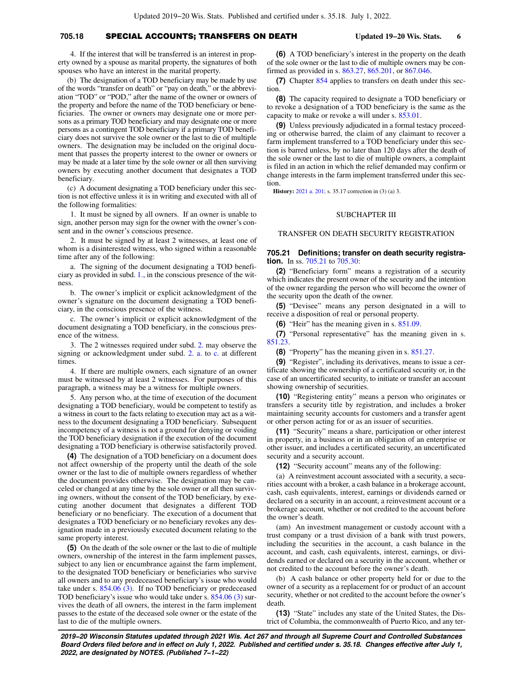# **705.18** SPECIAL ACCOUNTS; TRANSFERS ON DEATH **Updated 19−20 Wis. Stats. 6**

4. If the interest that will be transferred is an interest in property owned by a spouse as marital property, the signatures of both spouses who have an interest in the marital property.

(b) The designation of a TOD beneficiary may be made by use of the words "transfer on death" or "pay on death," or the abbreviation "TOD" or "POD," after the name of the owner or owners of the property and before the name of the TOD beneficiary or beneficiaries. The owner or owners may designate one or more persons as a primary TOD beneficiary and may designate one or more persons as a contingent TOD beneficiary if a primary TOD beneficiary does not survive the sole owner or the last to die of multiple owners. The designation may be included on the original document that passes the property interest to the owner or owners or may be made at a later time by the sole owner or all then surviving owners by executing another document that designates a TOD beneficiary.

(c) A document designating a TOD beneficiary under this section is not effective unless it is in writing and executed with all of the following formalities:

1. It must be signed by all owners. If an owner is unable to sign, another person may sign for the owner with the owner's consent and in the owner's conscious presence.

2. It must be signed by at least 2 witnesses, at least one of whom is a disinterested witness, who signed within a reasonable time after any of the following:

a. The signing of the document designating a TOD beneficiary as provided in subd. [1.](https://docs.legis.wisconsin.gov/document/statutes/705.18(3)(c)1.), in the conscious presence of the witness.

b. The owner's implicit or explicit acknowledgment of the owner's signature on the document designating a TOD beneficiary, in the conscious presence of the witness.

c. The owner's implicit or explicit acknowledgment of the document designating a TOD beneficiary, in the conscious presence of the witness.

3. The 2 witnesses required under subd. [2.](https://docs.legis.wisconsin.gov/document/statutes/705.18(3)(c)2.) may observe the signing or acknowledgment under subd. [2. a.](https://docs.legis.wisconsin.gov/document/statutes/705.18(3)(c)2.a.) to [c.](https://docs.legis.wisconsin.gov/document/statutes/705.18(3)(c)2.c.) at different times.

4. If there are multiple owners, each signature of an owner must be witnessed by at least 2 witnesses. For purposes of this paragraph, a witness may be a witness for multiple owners.

5. Any person who, at the time of execution of the document designating a TOD beneficiary, would be competent to testify as a witness in court to the facts relating to execution may act as a witness to the document designating a TOD beneficiary. Subsequent incompetency of a witness is not a ground for denying or voiding the TOD beneficiary designation if the execution of the document designating a TOD beneficiary is otherwise satisfactorily proved.

**(4)** The designation of a TOD beneficiary on a document does not affect ownership of the property until the death of the sole owner or the last to die of multiple owners regardless of whether the document provides otherwise. The designation may be canceled or changed at any time by the sole owner or all then surviving owners, without the consent of the TOD beneficiary, by executing another document that designates a different TOD beneficiary or no beneficiary. The execution of a document that designates a TOD beneficiary or no beneficiary revokes any designation made in a previously executed document relating to the same property interest.

**(5)** On the death of the sole owner or the last to die of multiple owners, ownership of the interest in the farm implement passes, subject to any lien or encumbrance against the farm implement, to the designated TOD beneficiary or beneficiaries who survive all owners and to any predeceased beneficiary's issue who would take under s.  $854.06$  (3). If no TOD beneficiary or predeceased TOD beneficiary's issue who would take under s. [854.06 \(3\)](https://docs.legis.wisconsin.gov/document/statutes/854.06(3)) survives the death of all owners, the interest in the farm implement passes to the estate of the deceased sole owner or the estate of the last to die of the multiple owners.

**(6)** A TOD beneficiary's interest in the property on the death of the sole owner or the last to die of multiple owners may be confirmed as provided in s. [863.27,](https://docs.legis.wisconsin.gov/document/statutes/863.27) [865.201,](https://docs.legis.wisconsin.gov/document/statutes/865.201) or [867.046.](https://docs.legis.wisconsin.gov/document/statutes/867.046)

**(7)** Chapter [854](https://docs.legis.wisconsin.gov/document/statutes/ch.%20854) applies to transfers on death under this section.

**(8)** The capacity required to designate a TOD beneficiary or to revoke a designation of a TOD beneficiary is the same as the capacity to make or revoke a will under s. [853.01.](https://docs.legis.wisconsin.gov/document/statutes/853.01)

**(9)** Unless previously adjudicated in a formal testacy proceeding or otherwise barred, the claim of any claimant to recover a farm implement transferred to a TOD beneficiary under this section is barred unless, by no later than 120 days after the death of the sole owner or the last to die of multiple owners, a complaint is filed in an action in which the relief demanded may confirm or change interests in the farm implement transferred under this section.

**History:** [2021 a. 201;](https://docs.legis.wisconsin.gov/document/acts/2021/201) s. 35.17 correction in (3) (a) 3.

### SUBCHAPTER III

### TRANSFER ON DEATH SECURITY REGISTRATION

## **705.21 Definitions; transfer on death security registration.** In ss. [705.21](https://docs.legis.wisconsin.gov/document/statutes/705.21) to [705.30:](https://docs.legis.wisconsin.gov/document/statutes/705.30)

**(2)** "Beneficiary form" means a registration of a security which indicates the present owner of the security and the intention of the owner regarding the person who will become the owner of the security upon the death of the owner.

**(5)** "Devisee" means any person designated in a will to receive a disposition of real or personal property.

**(6)** "Heir" has the meaning given in s. [851.09.](https://docs.legis.wisconsin.gov/document/statutes/851.09)

**(7)** "Personal representative" has the meaning given in s. [851.23.](https://docs.legis.wisconsin.gov/document/statutes/851.23)

**(8)** "Property" has the meaning given in s. [851.27.](https://docs.legis.wisconsin.gov/document/statutes/851.27)

**(9)** "Register", including its derivatives, means to issue a certificate showing the ownership of a certificated security or, in the case of an uncertificated security, to initiate or transfer an account showing ownership of securities.

**(10)** "Registering entity" means a person who originates or transfers a security title by registration, and includes a broker maintaining security accounts for customers and a transfer agent or other person acting for or as an issuer of securities.

**(11)** "Security" means a share, participation or other interest in property, in a business or in an obligation of an enterprise or other issuer, and includes a certificated security, an uncertificated security and a security account.

**(12)** "Security account" means any of the following:

(a) A reinvestment account associated with a security, a securities account with a broker, a cash balance in a brokerage account, cash, cash equivalents, interest, earnings or dividends earned or declared on a security in an account, a reinvestment account or a brokerage account, whether or not credited to the account before the owner's death.

(am) An investment management or custody account with a trust company or a trust division of a bank with trust powers, including the securities in the account, a cash balance in the account, and cash, cash equivalents, interest, earnings, or dividends earned or declared on a security in the account, whether or not credited to the account before the owner's death.

(b) A cash balance or other property held for or due to the owner of a security as a replacement for or product of an account security, whether or not credited to the account before the owner's death.

**(13)** "State" includes any state of the United States, the District of Columbia, the commonwealth of Puerto Rico, and any ter-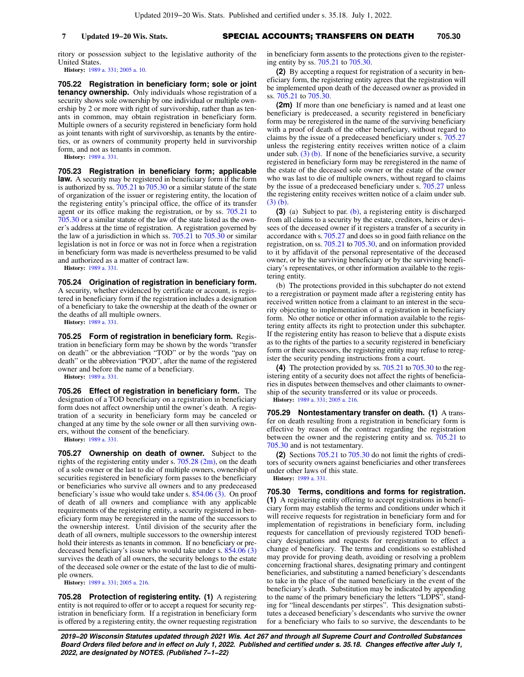**7 Updated 19−20 Wis. Stats.** SPECIAL ACCOUNTS; TRANSFERS ON DEATH **705.30**

ritory or possession subject to the legislative authority of the United States.

**History:** [1989 a. 331](https://docs.legis.wisconsin.gov/document/acts/1989/331); [2005 a. 10.](https://docs.legis.wisconsin.gov/document/acts/2005/10)

**705.22 Registration in beneficiary form; sole or joint tenancy ownership.** Only individuals whose registration of a security shows sole ownership by one individual or multiple ownership by 2 or more with right of survivorship, rather than as tenants in common, may obtain registration in beneficiary form. Multiple owners of a security registered in beneficiary form hold as joint tenants with right of survivorship, as tenants by the entireties, or as owners of community property held in survivorship form, and not as tenants in common.

**History:** [1989 a. 331](https://docs.legis.wisconsin.gov/document/acts/1989/331).

**705.23 Registration in beneficiary form; applicable law.** A security may be registered in beneficiary form if the form is authorized by ss. [705.21](https://docs.legis.wisconsin.gov/document/statutes/705.21) to [705.30](https://docs.legis.wisconsin.gov/document/statutes/705.30) or a similar statute of the state of organization of the issuer or registering entity, the location of the registering entity's principal office, the office of its transfer agent or its office making the registration, or by ss. [705.21](https://docs.legis.wisconsin.gov/document/statutes/705.21) to [705.30](https://docs.legis.wisconsin.gov/document/statutes/705.30) or a similar statute of the law of the state listed as the owner's address at the time of registration. A registration governed by the law of a jurisdiction in which ss. [705.21](https://docs.legis.wisconsin.gov/document/statutes/705.21) to [705.30](https://docs.legis.wisconsin.gov/document/statutes/705.30) or similar legislation is not in force or was not in force when a registration in beneficiary form was made is nevertheless presumed to be valid and authorized as a matter of contract law.

**History:** [1989 a. 331](https://docs.legis.wisconsin.gov/document/acts/1989/331).

**705.24 Origination of registration in beneficiary form.** A security, whether evidenced by certificate or account, is registered in beneficiary form if the registration includes a designation of a beneficiary to take the ownership at the death of the owner or the deaths of all multiple owners.

**History:** [1989 a. 331](https://docs.legis.wisconsin.gov/document/acts/1989/331).

**705.25 Form of registration in beneficiary form.** Registration in beneficiary form may be shown by the words "transfer on death" or the abbreviation "TOD" or by the words "pay on death" or the abbreviation "POD", after the name of the registered owner and before the name of a beneficiary.

**History:** [1989 a. 331](https://docs.legis.wisconsin.gov/document/acts/1989/331).

**705.26 Effect of registration in beneficiary form.** The designation of a TOD beneficiary on a registration in beneficiary form does not affect ownership until the owner's death. A registration of a security in beneficiary form may be canceled or changed at any time by the sole owner or all then surviving owners, without the consent of the beneficiary.

**History:** [1989 a. 331](https://docs.legis.wisconsin.gov/document/acts/1989/331).

**705.27 Ownership on death of owner.** Subject to the rights of the registering entity under s.  $705.28$   $(2m)$ , on the death of a sole owner or the last to die of multiple owners, ownership of securities registered in beneficiary form passes to the beneficiary or beneficiaries who survive all owners and to any predeceased beneficiary's issue who would take under s.  $854.06$  (3). On proof of death of all owners and compliance with any applicable requirements of the registering entity, a security registered in beneficiary form may be reregistered in the name of the successors to the ownership interest. Until division of the security after the death of all owners, multiple successors to the ownership interest hold their interests as tenants in common. If no beneficiary or predeceased beneficiary's issue who would take under s.  $854.06(3)$ survives the death of all owners, the security belongs to the estate of the deceased sole owner or the estate of the last to die of multiple owners.

**History:** [1989 a. 331](https://docs.legis.wisconsin.gov/document/acts/1989/331); [2005 a. 216](https://docs.legis.wisconsin.gov/document/acts/2005/216).

**705.28 Protection of registering entity. (1)** A registering entity is not required to offer or to accept a request for security registration in beneficiary form. If a registration in beneficiary form is offered by a registering entity, the owner requesting registration in beneficiary form assents to the protections given to the registering entity by ss. [705.21](https://docs.legis.wisconsin.gov/document/statutes/705.21) to [705.30](https://docs.legis.wisconsin.gov/document/statutes/705.30).

**(2)** By accepting a request for registration of a security in beneficiary form, the registering entity agrees that the registration will be implemented upon death of the deceased owner as provided in ss. [705.21](https://docs.legis.wisconsin.gov/document/statutes/705.21) to [705.30](https://docs.legis.wisconsin.gov/document/statutes/705.30).

**(2m)** If more than one beneficiary is named and at least one beneficiary is predeceased, a security registered in beneficiary form may be reregistered in the name of the surviving beneficiary with a proof of death of the other beneficiary, without regard to claims by the issue of a predeceased beneficiary under s. [705.27](https://docs.legis.wisconsin.gov/document/statutes/705.27) unless the registering entity receives written notice of a claim under sub.  $(3)$  (b). If none of the beneficiaries survive, a security registered in beneficiary form may be reregistered in the name of the estate of the deceased sole owner or the estate of the owner who was last to die of multiple owners, without regard to claims by the issue of a predeceased beneficiary under s. [705.27](https://docs.legis.wisconsin.gov/document/statutes/705.27) unless the registering entity receives written notice of a claim under sub. [\(3\) \(b\)](https://docs.legis.wisconsin.gov/document/statutes/705.28(3)(b)).

**(3)** (a) Subject to par. [\(b\),](https://docs.legis.wisconsin.gov/document/statutes/705.28(3)(b)) a registering entity is discharged from all claims to a security by the estate, creditors, heirs or devisees of the deceased owner if it registers a transfer of a security in accordance with s. [705.27](https://docs.legis.wisconsin.gov/document/statutes/705.27) and does so in good faith reliance on the registration, on ss. [705.21](https://docs.legis.wisconsin.gov/document/statutes/705.21) to [705.30,](https://docs.legis.wisconsin.gov/document/statutes/705.30) and on information provided to it by affidavit of the personal representative of the deceased owner, or by the surviving beneficiary or by the surviving beneficiary's representatives, or other information available to the registering entity.

(b) The protections provided in this subchapter do not extend to a reregistration or payment made after a registering entity has received written notice from a claimant to an interest in the security objecting to implementation of a registration in beneficiary form. No other notice or other information available to the registering entity affects its right to protection under this subchapter. If the registering entity has reason to believe that a dispute exists as to the rights of the parties to a security registered in beneficiary form or their successors, the registering entity may refuse to reregister the security pending instructions from a court.

**(4)** The protection provided by ss. [705.21](https://docs.legis.wisconsin.gov/document/statutes/705.21) to [705.30](https://docs.legis.wisconsin.gov/document/statutes/705.30) to the registering entity of a security does not affect the rights of beneficiaries in disputes between themselves and other claimants to ownership of the security transferred or its value or proceeds.

**History:** [1989 a. 331;](https://docs.legis.wisconsin.gov/document/acts/1989/331) [2005 a. 216](https://docs.legis.wisconsin.gov/document/acts/2005/216).

**705.29 Nontestamentary transfer on death. (1)** A transfer on death resulting from a registration in beneficiary form is effective by reason of the contract regarding the registration between the owner and the registering entity and ss. [705.21](https://docs.legis.wisconsin.gov/document/statutes/705.21) to [705.30](https://docs.legis.wisconsin.gov/document/statutes/705.30) and is not testamentary.

**(2)** Sections [705.21](https://docs.legis.wisconsin.gov/document/statutes/705.21) to [705.30](https://docs.legis.wisconsin.gov/document/statutes/705.30) do not limit the rights of creditors of security owners against beneficiaries and other transferees under other laws of this state.

**History:** [1989 a. 331.](https://docs.legis.wisconsin.gov/document/acts/1989/331)

**705.30 Terms, conditions and forms for registration. (1)** A registering entity offering to accept registrations in beneficiary form may establish the terms and conditions under which it will receive requests for registration in beneficiary form and for implementation of registrations in beneficiary form, including requests for cancellation of previously registered TOD beneficiary designations and requests for reregistration to effect a change of beneficiary. The terms and conditions so established may provide for proving death, avoiding or resolving a problem concerning fractional shares, designating primary and contingent beneficiaries, and substituting a named beneficiary's descendants to take in the place of the named beneficiary in the event of the beneficiary's death. Substitution may be indicated by appending to the name of the primary beneficiary the letters "LDPS", standing for "lineal descendants per stirpes". This designation substitutes a deceased beneficiary's descendants who survive the owner for a beneficiary who fails to so survive, the descendants to be